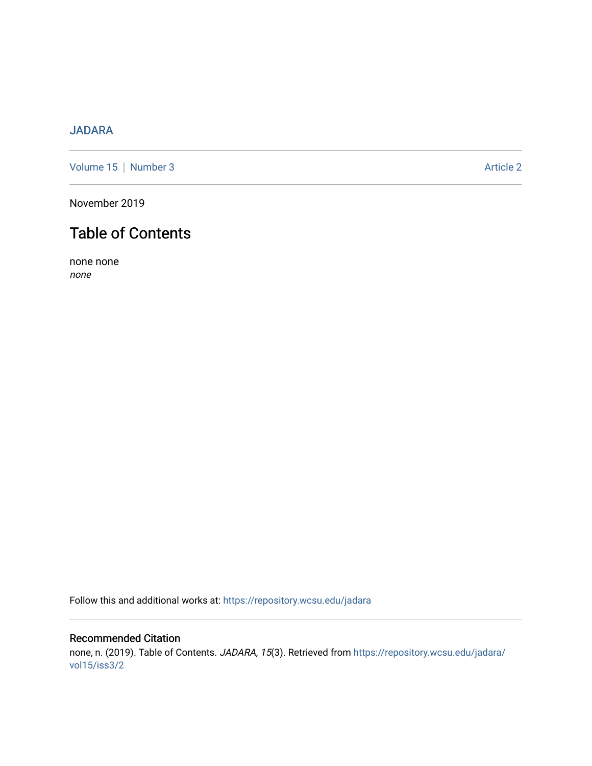## [JADARA](https://repository.wcsu.edu/jadara)

[Volume 15](https://repository.wcsu.edu/jadara/vol15) | [Number 3](https://repository.wcsu.edu/jadara/vol15/iss3) Article 2

November 2019

# Table of Contents

none none none

Follow this and additional works at: [https://repository.wcsu.edu/jadara](https://repository.wcsu.edu/jadara?utm_source=repository.wcsu.edu%2Fjadara%2Fvol15%2Fiss3%2F2&utm_medium=PDF&utm_campaign=PDFCoverPages)

### Recommended Citation none, n. (2019). Table of Contents. JADARA, 15(3). Retrieved from [https://repository.wcsu.edu/jadara/](https://repository.wcsu.edu/jadara/vol15/iss3/2?utm_source=repository.wcsu.edu%2Fjadara%2Fvol15%2Fiss3%2F2&utm_medium=PDF&utm_campaign=PDFCoverPages) [vol15/iss3/2](https://repository.wcsu.edu/jadara/vol15/iss3/2?utm_source=repository.wcsu.edu%2Fjadara%2Fvol15%2Fiss3%2F2&utm_medium=PDF&utm_campaign=PDFCoverPages)